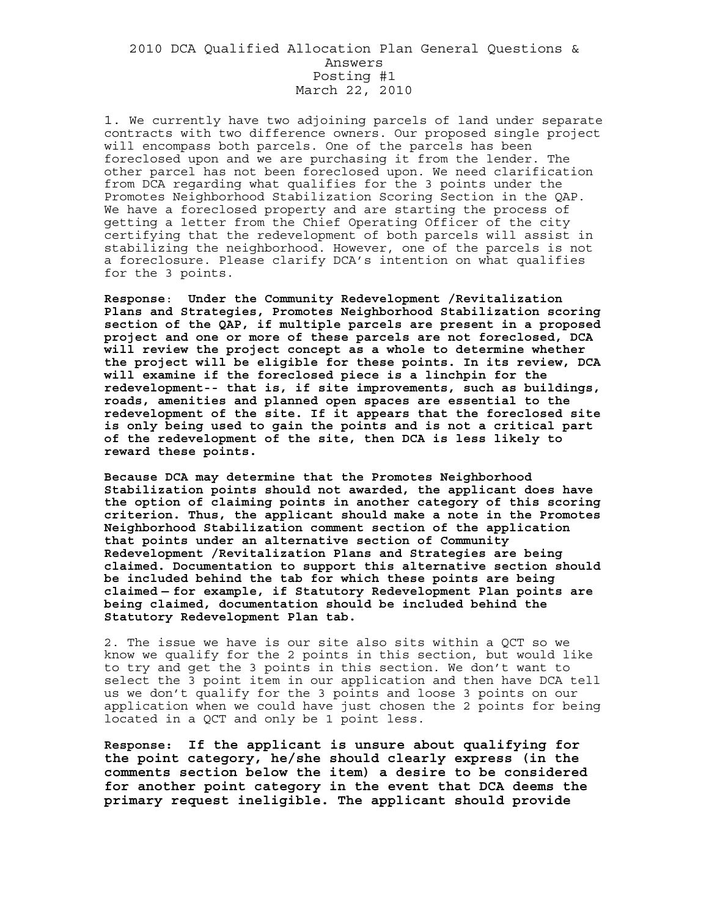## 2010 DCA Qualified Allocation Plan General Questions & Answers Posting #1 March 22, 2010

1. We currently have two adjoining parcels of land under separate contracts with two difference owners. Our proposed single project will encompass both parcels. One of the parcels has been foreclosed upon and we are purchasing it from the lender. The other parcel has not been foreclosed upon. We need clarification from DCA regarding what qualifies for the 3 points under the Promotes Neighborhood Stabilization Scoring Section in the QAP. We have a foreclosed property and are starting the process of getting a letter from the Chief Operating Officer of the city certifying that the redevelopment of both parcels will assist in stabilizing the neighborhood. However, one of the parcels is not a foreclosure. Please clarify DCA's intention on what qualifies for the 3 points.

**Response**: **Under the Community Redevelopment /Revitalization Plans and Strategies, Promotes Neighborhood Stabilization scoring section of the QAP, if multiple parcels are present in a proposed project and one or more of these parcels are not foreclosed, DCA will review the project concept as a whole to determine whether the project will be eligible for these points. In its review, DCA will examine if the foreclosed piece is a linchpin for the redevelopment-- that is, if site improvements, such as buildings, roads, amenities and planned open spaces are essential to the redevelopment of the site. If it appears that the foreclosed site is only being used to gain the points and is not a critical part of the redevelopment of the site, then DCA is less likely to reward these points.** 

**Because DCA may determine that the Promotes Neighborhood Stabilization points should not awarded, the applicant does have the option of claiming points in another category of this scoring criterion. Thus, the applicant should make a note in the Promotes Neighborhood Stabilization comment section of the application that points under an alternative section of Community Redevelopment /Revitalization Plans and Strategies are being claimed. Documentation to support this alternative section should be included behind the tab for which these points are being claimed — for example, if Statutory Redevelopment Plan points are being claimed, documentation should be included behind the Statutory Redevelopment Plan tab.** 

2. The issue we have is our site also sits within a QCT so we know we qualify for the 2 points in this section, but would like to try and get the 3 points in this section. We don't want to select the 3 point item in our application and then have DCA tell us we don't qualify for the 3 points and loose 3 points on our application when we could have just chosen the 2 points for being located in a QCT and only be 1 point less.

**Response: If the applicant is unsure about qualifying for the point category, he/she should clearly express (in the comments section below the item) a desire to be considered for another point category in the event that DCA deems the primary request ineligible. The applicant should provide**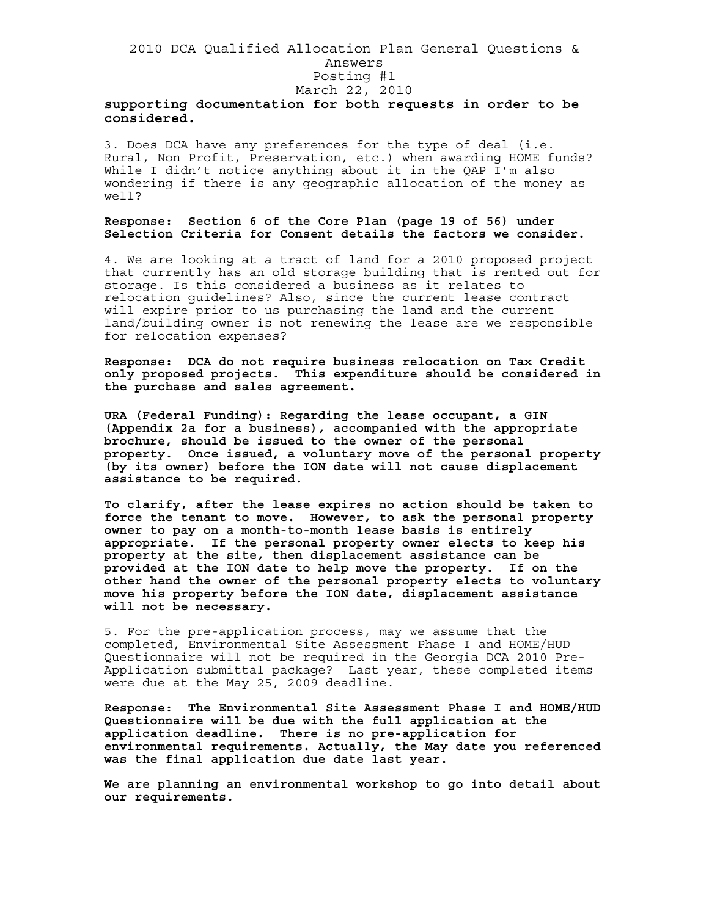## 2010 DCA Qualified Allocation Plan General Questions & Answers Posting #1 March 22, 2010 **supporting documentation for both requests in order to be considered.**

3. Does DCA have any preferences for the type of deal (i.e. Rural, Non Profit, Preservation, etc.) when awarding HOME funds? While I didn't notice anything about it in the QAP I'm also wondering if there is any geographic allocation of the money as well?

## **Response: Section 6 of the Core Plan (page 19 of 56) under Selection Criteria for Consent details the factors we consider.**

4. We are looking at a tract of land for a 2010 proposed project that currently has an old storage building that is rented out for storage. Is this considered a business as it relates to relocation guidelines? Also, since the current lease contract will expire prior to us purchasing the land and the current land/building owner is not renewing the lease are we responsible for relocation expenses?

**Response: DCA do not require business relocation on Tax Credit only proposed projects. This expenditure should be considered in the purchase and sales agreement.** 

**URA (Federal Funding): Regarding the lease occupant, a GIN (Appendix 2a for a business), accompanied with the appropriate brochure, should be issued to the owner of the personal property. Once issued, a voluntary move of the personal property (by its owner) before the ION date will not cause displacement assistance to be required.** 

**To clarify, after the lease expires no action should be taken to force the tenant to move. However, to ask the personal property owner to pay on a month-to-month lease basis is entirely appropriate. If the personal property owner elects to keep his property at the site, then displacement assistance can be provided at the ION date to help move the property. If on the other hand the owner of the personal property elects to voluntary move his property before the ION date, displacement assistance will not be necessary.** 

5. For the pre-application process, may we assume that the completed, Environmental Site Assessment Phase I and HOME/HUD Questionnaire will not be required in the Georgia DCA 2010 Pre-Application submittal package? Last year, these completed items were due at the May 25, 2009 deadline.

**Response: The Environmental Site Assessment Phase I and HOME/HUD Questionnaire will be due with the full application at the application deadline. There is no pre-application for environmental requirements. Actually, the May date you referenced was the final application due date last year.** 

**We are planning an environmental workshop to go into detail about our requirements.**